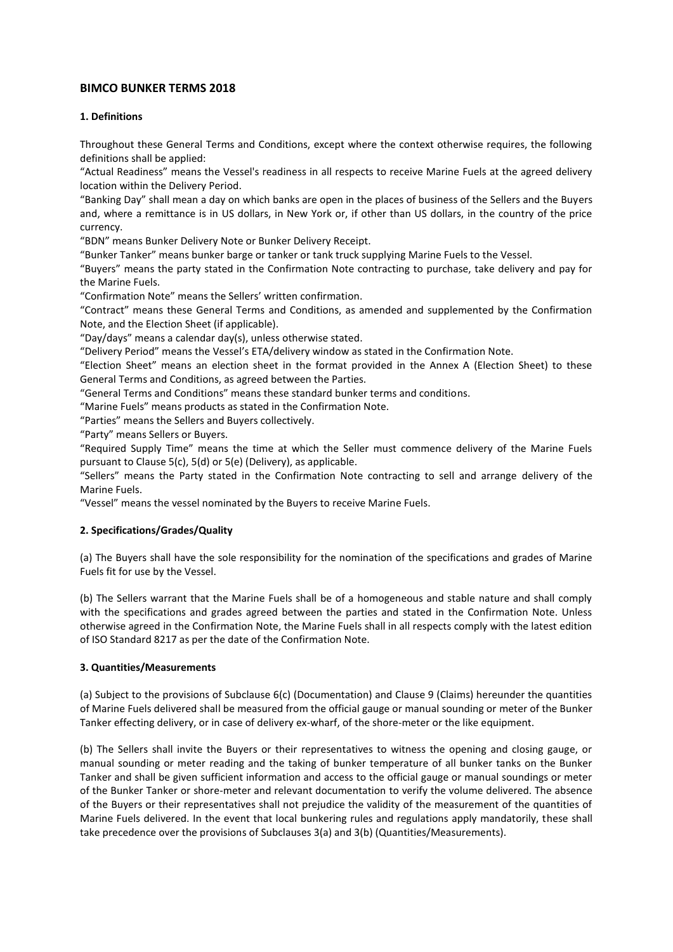# **BIMCO BUNKER TERMS 2018**

## **1. Definitions**

Throughout these General Terms and Conditions, except where the context otherwise requires, the following definitions shall be applied:

"Actual Readiness" means the Vessel's readiness in all respects to receive Marine Fuels at the agreed delivery location within the Delivery Period.

"Banking Day" shall mean a day on which banks are open in the places of business of the Sellers and the Buyers and, where a remittance is in US dollars, in New York or, if other than US dollars, in the country of the price currency.

"BDN" means Bunker Delivery Note or Bunker Delivery Receipt.

"Bunker Tanker" means bunker barge or tanker or tank truck supplying Marine Fuels to the Vessel.

"Buyers" means the party stated in the Confirmation Note contracting to purchase, take delivery and pay for the Marine Fuels.

"Confirmation Note" means the Sellers' written confirmation.

"Contract" means these General Terms and Conditions, as amended and supplemented by the Confirmation Note, and the Election Sheet (if applicable).

"Day/days" means a calendar day(s), unless otherwise stated.

"Delivery Period" means the Vessel's ETA/delivery window as stated in the Confirmation Note.

"Election Sheet" means an election sheet in the format provided in the Annex A (Election Sheet) to these General Terms and Conditions, as agreed between the Parties.

"General Terms and Conditions" means these standard bunker terms and conditions.

"Marine Fuels" means products as stated in the Confirmation Note.

"Parties" means the Sellers and Buyers collectively.

"Party" means Sellers or Buyers.

"Required Supply Time" means the time at which the Seller must commence delivery of the Marine Fuels pursuant to Clause 5(c), 5(d) or 5(e) (Delivery), as applicable.

"Sellers" means the Party stated in the Confirmation Note contracting to sell and arrange delivery of the Marine Fuels.

"Vessel" means the vessel nominated by the Buyers to receive Marine Fuels.

# **2. Specifications/Grades/Quality**

(a) The Buyers shall have the sole responsibility for the nomination of the specifications and grades of Marine Fuels fit for use by the Vessel.

(b) The Sellers warrant that the Marine Fuels shall be of a homogeneous and stable nature and shall comply with the specifications and grades agreed between the parties and stated in the Confirmation Note. Unless otherwise agreed in the Confirmation Note, the Marine Fuels shall in all respects comply with the latest edition of ISO Standard 8217 as per the date of the Confirmation Note.

## **3. Quantities/Measurements**

(a) Subject to the provisions of Subclause 6(c) (Documentation) and Clause 9 (Claims) hereunder the quantities of Marine Fuels delivered shall be measured from the official gauge or manual sounding or meter of the Bunker Tanker effecting delivery, or in case of delivery ex-wharf, of the shore-meter or the like equipment.

(b) The Sellers shall invite the Buyers or their representatives to witness the opening and closing gauge, or manual sounding or meter reading and the taking of bunker temperature of all bunker tanks on the Bunker Tanker and shall be given sufficient information and access to the official gauge or manual soundings or meter of the Bunker Tanker or shore-meter and relevant documentation to verify the volume delivered. The absence of the Buyers or their representatives shall not prejudice the validity of the measurement of the quantities of Marine Fuels delivered. In the event that local bunkering rules and regulations apply mandatorily, these shall take precedence over the provisions of Subclauses 3(a) and 3(b) (Quantities/Measurements).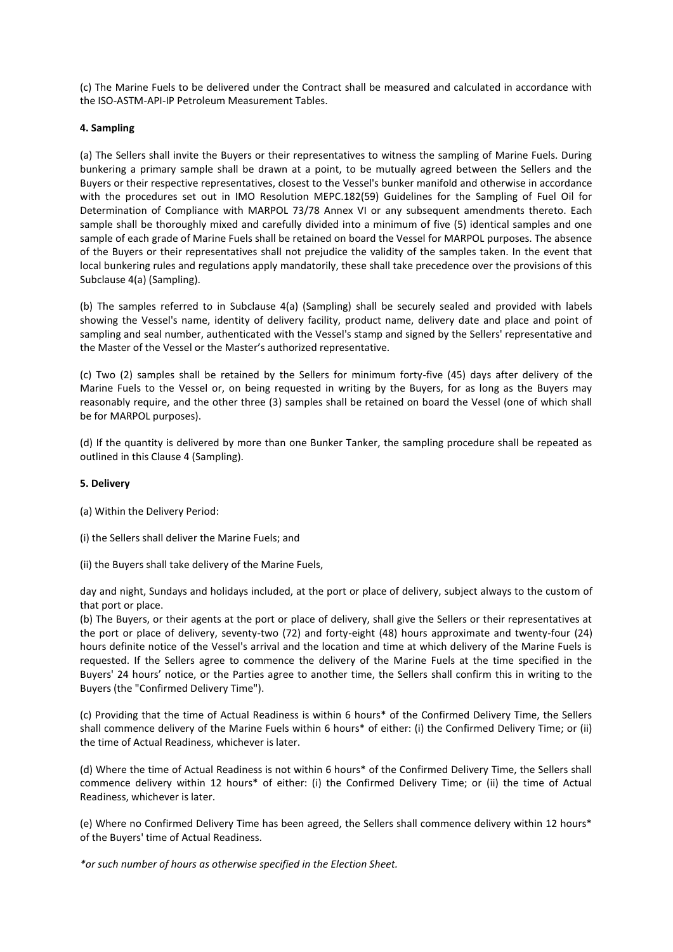(c) The Marine Fuels to be delivered under the Contract shall be measured and calculated in accordance with the ISO-ASTM-API-IP Petroleum Measurement Tables.

### **4. Sampling**

(a) The Sellers shall invite the Buyers or their representatives to witness the sampling of Marine Fuels. During bunkering a primary sample shall be drawn at a point, to be mutually agreed between the Sellers and the Buyers or their respective representatives, closest to the Vessel's bunker manifold and otherwise in accordance with the procedures set out in IMO Resolution MEPC.182(59) Guidelines for the Sampling of Fuel Oil for Determination of Compliance with MARPOL 73/78 Annex VI or any subsequent amendments thereto. Each sample shall be thoroughly mixed and carefully divided into a minimum of five (5) identical samples and one sample of each grade of Marine Fuels shall be retained on board the Vessel for MARPOL purposes. The absence of the Buyers or their representatives shall not prejudice the validity of the samples taken. In the event that local bunkering rules and regulations apply mandatorily, these shall take precedence over the provisions of this Subclause 4(a) (Sampling).

(b) The samples referred to in Subclause 4(a) (Sampling) shall be securely sealed and provided with labels showing the Vessel's name, identity of delivery facility, product name, delivery date and place and point of sampling and seal number, authenticated with the Vessel's stamp and signed by the Sellers' representative and the Master of the Vessel or the Master's authorized representative.

(c) Two (2) samples shall be retained by the Sellers for minimum forty-five (45) days after delivery of the Marine Fuels to the Vessel or, on being requested in writing by the Buyers, for as long as the Buyers may reasonably require, and the other three (3) samples shall be retained on board the Vessel (one of which shall be for MARPOL purposes).

(d) If the quantity is delivered by more than one Bunker Tanker, the sampling procedure shall be repeated as outlined in this Clause 4 (Sampling).

#### **5. Delivery**

(a) Within the Delivery Period:

(i) the Sellers shall deliver the Marine Fuels; and

(ii) the Buyers shall take delivery of the Marine Fuels,

day and night, Sundays and holidays included, at the port or place of delivery, subject always to the custom of that port or place.

(b) The Buyers, or their agents at the port or place of delivery, shall give the Sellers or their representatives at the port or place of delivery, seventy-two (72) and forty-eight (48) hours approximate and twenty-four (24) hours definite notice of the Vessel's arrival and the location and time at which delivery of the Marine Fuels is requested. If the Sellers agree to commence the delivery of the Marine Fuels at the time specified in the Buyers' 24 hours' notice, or the Parties agree to another time, the Sellers shall confirm this in writing to the Buyers (the "Confirmed Delivery Time").

(c) Providing that the time of Actual Readiness is within 6 hours\* of the Confirmed Delivery Time, the Sellers shall commence delivery of the Marine Fuels within 6 hours\* of either: (i) the Confirmed Delivery Time; or (ii) the time of Actual Readiness, whichever is later.

(d) Where the time of Actual Readiness is not within 6 hours\* of the Confirmed Delivery Time, the Sellers shall commence delivery within 12 hours\* of either: (i) the Confirmed Delivery Time; or (ii) the time of Actual Readiness, whichever is later.

(e) Where no Confirmed Delivery Time has been agreed, the Sellers shall commence delivery within 12 hours\* of the Buyers' time of Actual Readiness.

*\*or such number of hours as otherwise specified in the Election Sheet.*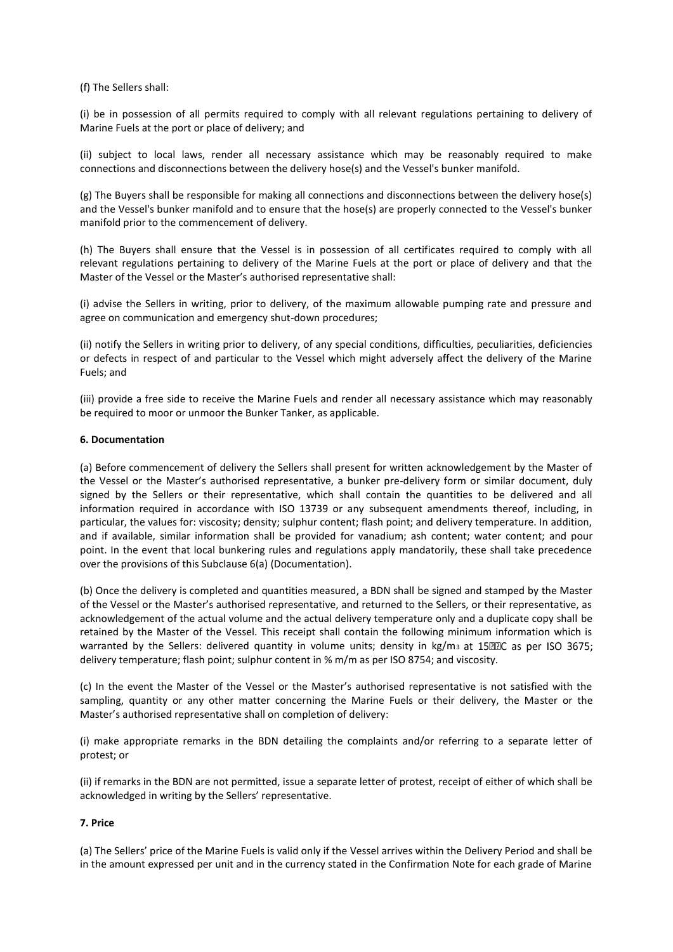(f) The Sellers shall:

(i) be in possession of all permits required to comply with all relevant regulations pertaining to delivery of Marine Fuels at the port or place of delivery; and

(ii) subject to local laws, render all necessary assistance which may be reasonably required to make connections and disconnections between the delivery hose(s) and the Vessel's bunker manifold.

(g) The Buyers shall be responsible for making all connections and disconnections between the delivery hose(s) and the Vessel's bunker manifold and to ensure that the hose(s) are properly connected to the Vessel's bunker manifold prior to the commencement of delivery.

(h) The Buyers shall ensure that the Vessel is in possession of all certificates required to comply with all relevant regulations pertaining to delivery of the Marine Fuels at the port or place of delivery and that the Master of the Vessel or the Master's authorised representative shall:

(i) advise the Sellers in writing, prior to delivery, of the maximum allowable pumping rate and pressure and agree on communication and emergency shut-down procedures;

(ii) notify the Sellers in writing prior to delivery, of any special conditions, difficulties, peculiarities, deficiencies or defects in respect of and particular to the Vessel which might adversely affect the delivery of the Marine Fuels; and

(iii) provide a free side to receive the Marine Fuels and render all necessary assistance which may reasonably be required to moor or unmoor the Bunker Tanker, as applicable.

### **6. Documentation**

(a) Before commencement of delivery the Sellers shall present for written acknowledgement by the Master of the Vessel or the Master's authorised representative, a bunker pre-delivery form or similar document, duly signed by the Sellers or their representative, which shall contain the quantities to be delivered and all information required in accordance with ISO 13739 or any subsequent amendments thereof, including, in particular, the values for: viscosity; density; sulphur content; flash point; and delivery temperature. In addition, and if available, similar information shall be provided for vanadium; ash content; water content; and pour point. In the event that local bunkering rules and regulations apply mandatorily, these shall take precedence over the provisions of this Subclause 6(a) (Documentation).

(b) Once the delivery is completed and quantities measured, a BDN shall be signed and stamped by the Master of the Vessel or the Master's authorised representative, and returned to the Sellers, or their representative, as acknowledgement of the actual volume and the actual delivery temperature only and a duplicate copy shall be retained by the Master of the Vessel. This receipt shall contain the following minimum information which is warranted by the Sellers: delivered quantity in volume units; density in  $kg/m_3$  at 15 $20^{\circ}$ C as per ISO 3675; delivery temperature; flash point; sulphur content in % m/m as per ISO 8754; and viscosity.

(c) In the event the Master of the Vessel or the Master's authorised representative is not satisfied with the sampling, quantity or any other matter concerning the Marine Fuels or their delivery, the Master or the Master's authorised representative shall on completion of delivery:

(i) make appropriate remarks in the BDN detailing the complaints and/or referring to a separate letter of protest; or

(ii) if remarks in the BDN are not permitted, issue a separate letter of protest, receipt of either of which shall be acknowledged in writing by the Sellers' representative.

# **7. Price**

(a) The Sellers' price of the Marine Fuels is valid only if the Vessel arrives within the Delivery Period and shall be in the amount expressed per unit and in the currency stated in the Confirmation Note for each grade of Marine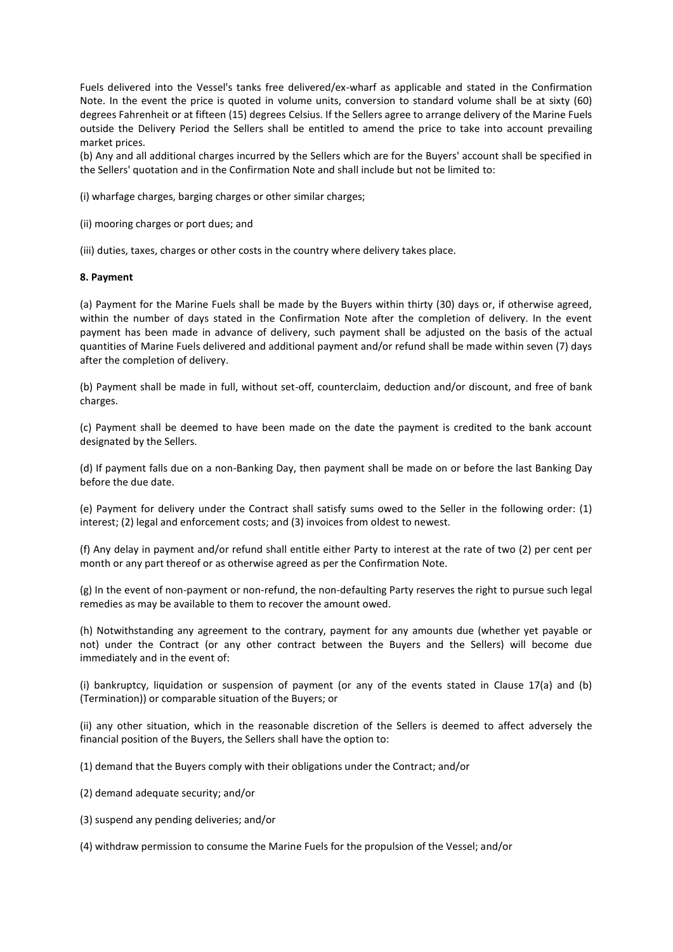Fuels delivered into the Vessel's tanks free delivered/ex-wharf as applicable and stated in the Confirmation Note. In the event the price is quoted in volume units, conversion to standard volume shall be at sixty (60) degrees Fahrenheit or at fifteen (15) degrees Celsius. If the Sellers agree to arrange delivery of the Marine Fuels outside the Delivery Period the Sellers shall be entitled to amend the price to take into account prevailing market prices.

(b) Any and all additional charges incurred by the Sellers which are for the Buyers' account shall be specified in the Sellers' quotation and in the Confirmation Note and shall include but not be limited to:

(i) wharfage charges, barging charges or other similar charges;

(ii) mooring charges or port dues; and

(iii) duties, taxes, charges or other costs in the country where delivery takes place.

#### **8. Payment**

(a) Payment for the Marine Fuels shall be made by the Buyers within thirty (30) days or, if otherwise agreed, within the number of days stated in the Confirmation Note after the completion of delivery. In the event payment has been made in advance of delivery, such payment shall be adjusted on the basis of the actual quantities of Marine Fuels delivered and additional payment and/or refund shall be made within seven (7) days after the completion of delivery.

(b) Payment shall be made in full, without set-off, counterclaim, deduction and/or discount, and free of bank charges.

(c) Payment shall be deemed to have been made on the date the payment is credited to the bank account designated by the Sellers.

(d) If payment falls due on a non-Banking Day, then payment shall be made on or before the last Banking Day before the due date.

(e) Payment for delivery under the Contract shall satisfy sums owed to the Seller in the following order: (1) interest; (2) legal and enforcement costs; and (3) invoices from oldest to newest.

(f) Any delay in payment and/or refund shall entitle either Party to interest at the rate of two (2) per cent per month or any part thereof or as otherwise agreed as per the Confirmation Note.

(g) In the event of non-payment or non-refund, the non-defaulting Party reserves the right to pursue such legal remedies as may be available to them to recover the amount owed.

(h) Notwithstanding any agreement to the contrary, payment for any amounts due (whether yet payable or not) under the Contract (or any other contract between the Buyers and the Sellers) will become due immediately and in the event of:

(i) bankruptcy, liquidation or suspension of payment (or any of the events stated in Clause 17(a) and (b) (Termination)) or comparable situation of the Buyers; or

(ii) any other situation, which in the reasonable discretion of the Sellers is deemed to affect adversely the financial position of the Buyers, the Sellers shall have the option to:

(1) demand that the Buyers comply with their obligations under the Contract; and/or

(2) demand adequate security; and/or

(3) suspend any pending deliveries; and/or

(4) withdraw permission to consume the Marine Fuels for the propulsion of the Vessel; and/or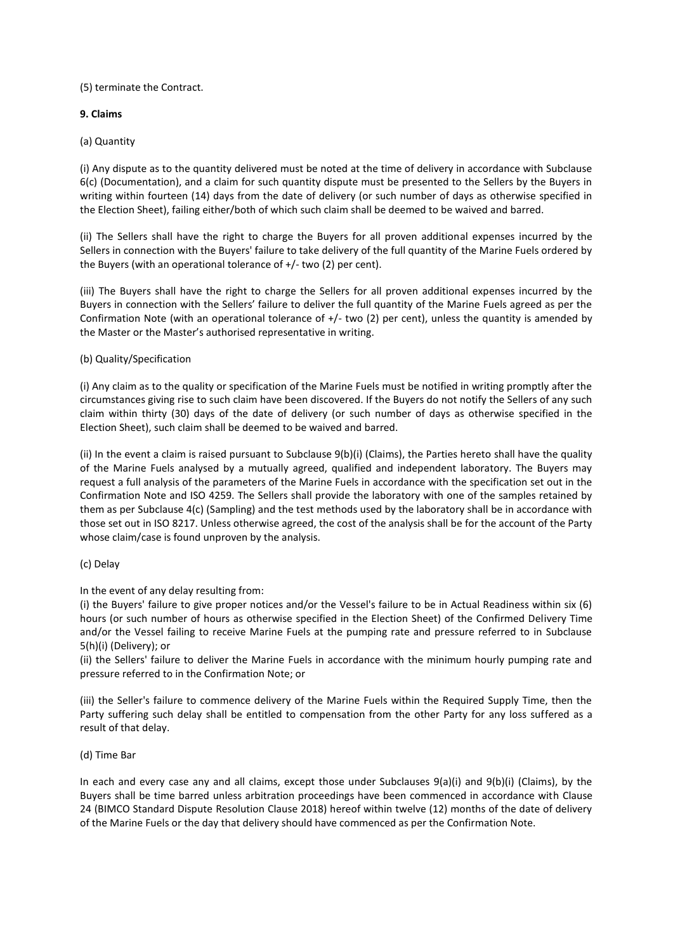## (5) terminate the Contract.

## **9. Claims**

## (a) Quantity

(i) Any dispute as to the quantity delivered must be noted at the time of delivery in accordance with Subclause 6(c) (Documentation), and a claim for such quantity dispute must be presented to the Sellers by the Buyers in writing within fourteen (14) days from the date of delivery (or such number of days as otherwise specified in the Election Sheet), failing either/both of which such claim shall be deemed to be waived and barred.

(ii) The Sellers shall have the right to charge the Buyers for all proven additional expenses incurred by the Sellers in connection with the Buyers' failure to take delivery of the full quantity of the Marine Fuels ordered by the Buyers (with an operational tolerance of +/- two (2) per cent).

(iii) The Buyers shall have the right to charge the Sellers for all proven additional expenses incurred by the Buyers in connection with the Sellers' failure to deliver the full quantity of the Marine Fuels agreed as per the Confirmation Note (with an operational tolerance of  $+/-$  two (2) per cent), unless the quantity is amended by the Master or the Master's authorised representative in writing.

## (b) Quality/Specification

(i) Any claim as to the quality or specification of the Marine Fuels must be notified in writing promptly after the circumstances giving rise to such claim have been discovered. If the Buyers do not notify the Sellers of any such claim within thirty (30) days of the date of delivery (or such number of days as otherwise specified in the Election Sheet), such claim shall be deemed to be waived and barred.

(ii) In the event a claim is raised pursuant to Subclause 9(b)(i) (Claims), the Parties hereto shall have the quality of the Marine Fuels analysed by a mutually agreed, qualified and independent laboratory. The Buyers may request a full analysis of the parameters of the Marine Fuels in accordance with the specification set out in the Confirmation Note and ISO 4259. The Sellers shall provide the laboratory with one of the samples retained by them as per Subclause 4(c) (Sampling) and the test methods used by the laboratory shall be in accordance with those set out in ISO 8217. Unless otherwise agreed, the cost of the analysis shall be for the account of the Party whose claim/case is found unproven by the analysis.

## (c) Delay

In the event of any delay resulting from:

(i) the Buyers' failure to give proper notices and/or the Vessel's failure to be in Actual Readiness within six (6) hours (or such number of hours as otherwise specified in the Election Sheet) of the Confirmed Delivery Time and/or the Vessel failing to receive Marine Fuels at the pumping rate and pressure referred to in Subclause 5(h)(i) (Delivery); or

(ii) the Sellers' failure to deliver the Marine Fuels in accordance with the minimum hourly pumping rate and pressure referred to in the Confirmation Note; or

(iii) the Seller's failure to commence delivery of the Marine Fuels within the Required Supply Time, then the Party suffering such delay shall be entitled to compensation from the other Party for any loss suffered as a result of that delay.

## (d) Time Bar

In each and every case any and all claims, except those under Subclauses 9(a)(i) and 9(b)(i) (Claims), by the Buyers shall be time barred unless arbitration proceedings have been commenced in accordance with Clause 24 (BIMCO Standard Dispute Resolution Clause 2018) hereof within twelve (12) months of the date of delivery of the Marine Fuels or the day that delivery should have commenced as per the Confirmation Note.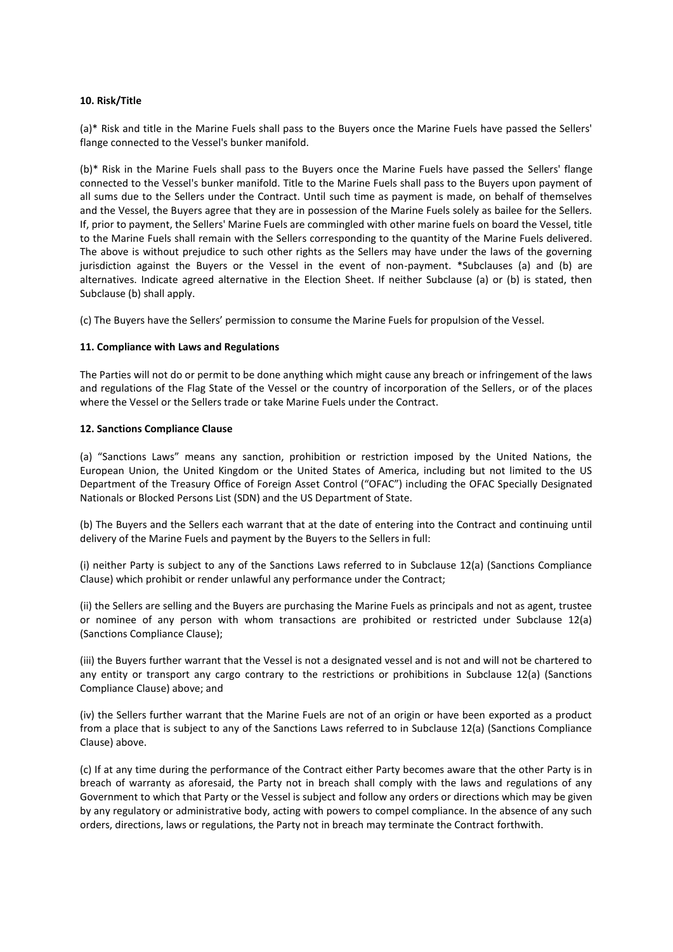### **10. Risk/Title**

(a)\* Risk and title in the Marine Fuels shall pass to the Buyers once the Marine Fuels have passed the Sellers' flange connected to the Vessel's bunker manifold.

(b)\* Risk in the Marine Fuels shall pass to the Buyers once the Marine Fuels have passed the Sellers' flange connected to the Vessel's bunker manifold. Title to the Marine Fuels shall pass to the Buyers upon payment of all sums due to the Sellers under the Contract. Until such time as payment is made, on behalf of themselves and the Vessel, the Buyers agree that they are in possession of the Marine Fuels solely as bailee for the Sellers. If, prior to payment, the Sellers' Marine Fuels are commingled with other marine fuels on board the Vessel, title to the Marine Fuels shall remain with the Sellers corresponding to the quantity of the Marine Fuels delivered. The above is without prejudice to such other rights as the Sellers may have under the laws of the governing jurisdiction against the Buyers or the Vessel in the event of non-payment. \*Subclauses (a) and (b) are alternatives. Indicate agreed alternative in the Election Sheet. If neither Subclause (a) or (b) is stated, then Subclause (b) shall apply.

(c) The Buyers have the Sellers' permission to consume the Marine Fuels for propulsion of the Vessel.

### **11. Compliance with Laws and Regulations**

The Parties will not do or permit to be done anything which might cause any breach or infringement of the laws and regulations of the Flag State of the Vessel or the country of incorporation of the Sellers, or of the places where the Vessel or the Sellers trade or take Marine Fuels under the Contract.

### **12. Sanctions Compliance Clause**

(a) "Sanctions Laws" means any sanction, prohibition or restriction imposed by the United Nations, the European Union, the United Kingdom or the United States of America, including but not limited to the US Department of the Treasury Office of Foreign Asset Control ("OFAC") including the OFAC Specially Designated Nationals or Blocked Persons List (SDN) and the US Department of State.

(b) The Buyers and the Sellers each warrant that at the date of entering into the Contract and continuing until delivery of the Marine Fuels and payment by the Buyers to the Sellers in full:

(i) neither Party is subject to any of the Sanctions Laws referred to in Subclause 12(a) (Sanctions Compliance Clause) which prohibit or render unlawful any performance under the Contract;

(ii) the Sellers are selling and the Buyers are purchasing the Marine Fuels as principals and not as agent, trustee or nominee of any person with whom transactions are prohibited or restricted under Subclause 12(a) (Sanctions Compliance Clause);

(iii) the Buyers further warrant that the Vessel is not a designated vessel and is not and will not be chartered to any entity or transport any cargo contrary to the restrictions or prohibitions in Subclause 12(a) (Sanctions Compliance Clause) above; and

(iv) the Sellers further warrant that the Marine Fuels are not of an origin or have been exported as a product from a place that is subject to any of the Sanctions Laws referred to in Subclause 12(a) (Sanctions Compliance Clause) above.

(c) If at any time during the performance of the Contract either Party becomes aware that the other Party is in breach of warranty as aforesaid, the Party not in breach shall comply with the laws and regulations of any Government to which that Party or the Vessel is subject and follow any orders or directions which may be given by any regulatory or administrative body, acting with powers to compel compliance. In the absence of any such orders, directions, laws or regulations, the Party not in breach may terminate the Contract forthwith.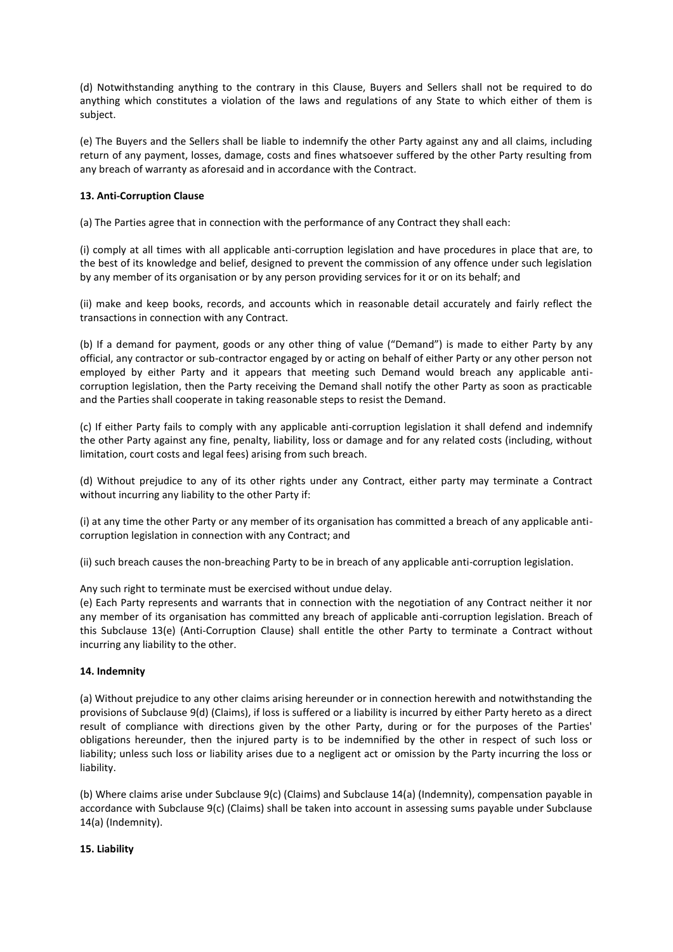(d) Notwithstanding anything to the contrary in this Clause, Buyers and Sellers shall not be required to do anything which constitutes a violation of the laws and regulations of any State to which either of them is subject.

(e) The Buyers and the Sellers shall be liable to indemnify the other Party against any and all claims, including return of any payment, losses, damage, costs and fines whatsoever suffered by the other Party resulting from any breach of warranty as aforesaid and in accordance with the Contract.

# **13. Anti-Corruption Clause**

(a) The Parties agree that in connection with the performance of any Contract they shall each:

(i) comply at all times with all applicable anti-corruption legislation and have procedures in place that are, to the best of its knowledge and belief, designed to prevent the commission of any offence under such legislation by any member of its organisation or by any person providing services for it or on its behalf; and

(ii) make and keep books, records, and accounts which in reasonable detail accurately and fairly reflect the transactions in connection with any Contract.

(b) If a demand for payment, goods or any other thing of value ("Demand") is made to either Party by any official, any contractor or sub-contractor engaged by or acting on behalf of either Party or any other person not employed by either Party and it appears that meeting such Demand would breach any applicable anticorruption legislation, then the Party receiving the Demand shall notify the other Party as soon as practicable and the Parties shall cooperate in taking reasonable steps to resist the Demand.

(c) If either Party fails to comply with any applicable anti-corruption legislation it shall defend and indemnify the other Party against any fine, penalty, liability, loss or damage and for any related costs (including, without limitation, court costs and legal fees) arising from such breach.

(d) Without prejudice to any of its other rights under any Contract, either party may terminate a Contract without incurring any liability to the other Party if:

(i) at any time the other Party or any member of its organisation has committed a breach of any applicable anticorruption legislation in connection with any Contract; and

(ii) such breach causes the non-breaching Party to be in breach of any applicable anti-corruption legislation.

Any such right to terminate must be exercised without undue delay.

(e) Each Party represents and warrants that in connection with the negotiation of any Contract neither it nor any member of its organisation has committed any breach of applicable anti-corruption legislation. Breach of this Subclause 13(e) (Anti-Corruption Clause) shall entitle the other Party to terminate a Contract without incurring any liability to the other.

## **14. Indemnity**

(a) Without prejudice to any other claims arising hereunder or in connection herewith and notwithstanding the provisions of Subclause 9(d) (Claims), if loss is suffered or a liability is incurred by either Party hereto as a direct result of compliance with directions given by the other Party, during or for the purposes of the Parties' obligations hereunder, then the injured party is to be indemnified by the other in respect of such loss or liability; unless such loss or liability arises due to a negligent act or omission by the Party incurring the loss or liability.

(b) Where claims arise under Subclause 9(c) (Claims) and Subclause 14(a) (Indemnity), compensation payable in accordance with Subclause 9(c) (Claims) shall be taken into account in assessing sums payable under Subclause 14(a) (Indemnity).

## **15. Liability**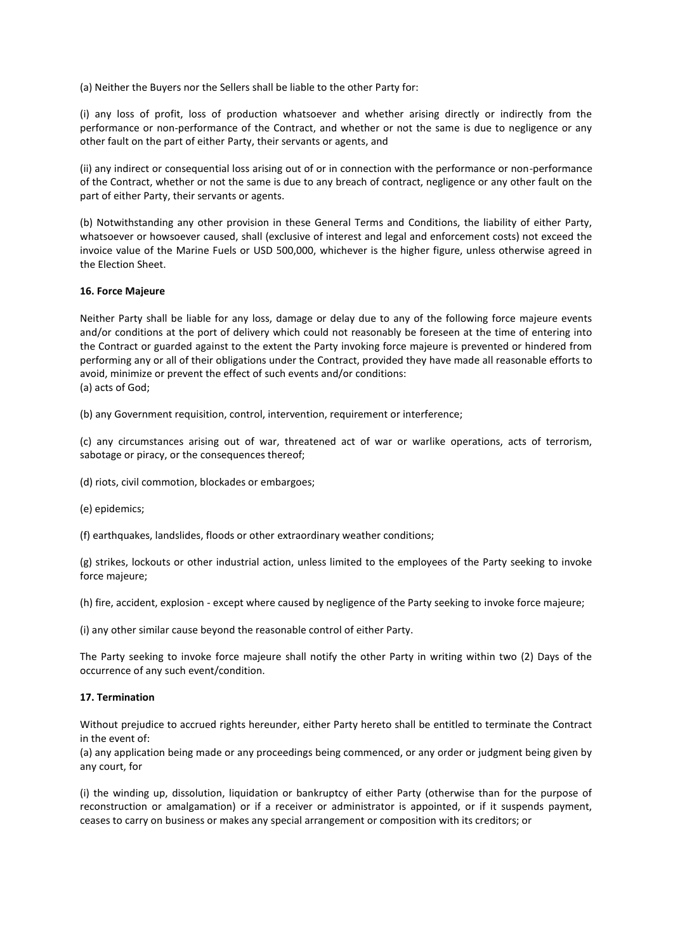(a) Neither the Buyers nor the Sellers shall be liable to the other Party for:

(i) any loss of profit, loss of production whatsoever and whether arising directly or indirectly from the performance or non-performance of the Contract, and whether or not the same is due to negligence or any other fault on the part of either Party, their servants or agents, and

(ii) any indirect or consequential loss arising out of or in connection with the performance or non-performance of the Contract, whether or not the same is due to any breach of contract, negligence or any other fault on the part of either Party, their servants or agents.

(b) Notwithstanding any other provision in these General Terms and Conditions, the liability of either Party, whatsoever or howsoever caused, shall (exclusive of interest and legal and enforcement costs) not exceed the invoice value of the Marine Fuels or USD 500,000, whichever is the higher figure, unless otherwise agreed in the Election Sheet.

### **16. Force Majeure**

Neither Party shall be liable for any loss, damage or delay due to any of the following force majeure events and/or conditions at the port of delivery which could not reasonably be foreseen at the time of entering into the Contract or guarded against to the extent the Party invoking force majeure is prevented or hindered from performing any or all of their obligations under the Contract, provided they have made all reasonable efforts to avoid, minimize or prevent the effect of such events and/or conditions: (a) acts of God;

(b) any Government requisition, control, intervention, requirement or interference;

(c) any circumstances arising out of war, threatened act of war or warlike operations, acts of terrorism, sabotage or piracy, or the consequences thereof;

(d) riots, civil commotion, blockades or embargoes;

(e) epidemics;

(f) earthquakes, landslides, floods or other extraordinary weather conditions;

(g) strikes, lockouts or other industrial action, unless limited to the employees of the Party seeking to invoke force majeure;

(h) fire, accident, explosion - except where caused by negligence of the Party seeking to invoke force majeure;

(i) any other similar cause beyond the reasonable control of either Party.

The Party seeking to invoke force majeure shall notify the other Party in writing within two (2) Days of the occurrence of any such event/condition.

## **17. Termination**

Without prejudice to accrued rights hereunder, either Party hereto shall be entitled to terminate the Contract in the event of:

(a) any application being made or any proceedings being commenced, or any order or judgment being given by any court, for

(i) the winding up, dissolution, liquidation or bankruptcy of either Party (otherwise than for the purpose of reconstruction or amalgamation) or if a receiver or administrator is appointed, or if it suspends payment, ceases to carry on business or makes any special arrangement or composition with its creditors; or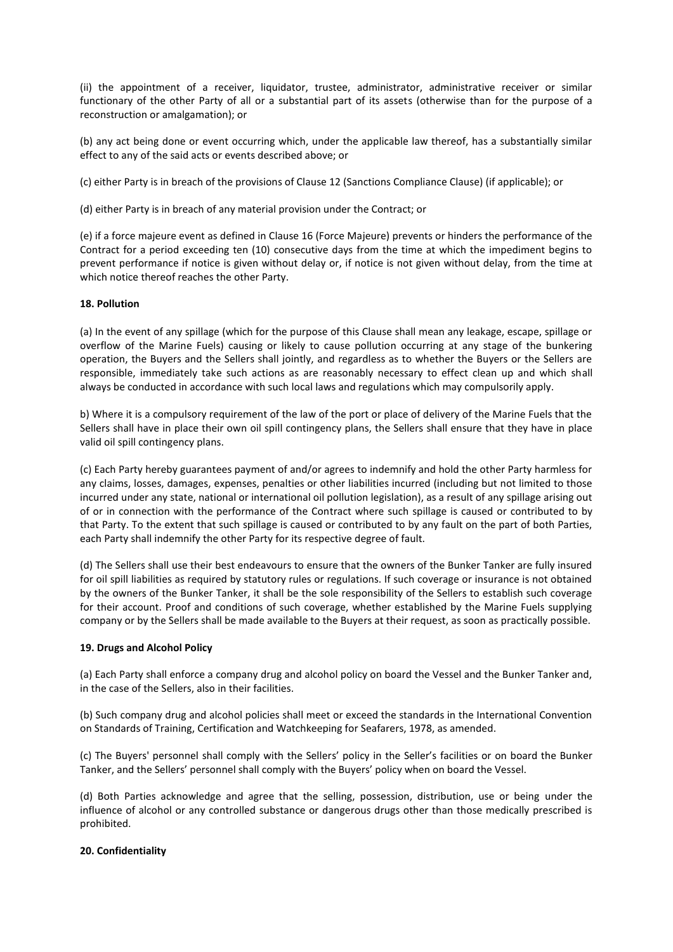(ii) the appointment of a receiver, liquidator, trustee, administrator, administrative receiver or similar functionary of the other Party of all or a substantial part of its assets (otherwise than for the purpose of a reconstruction or amalgamation); or

(b) any act being done or event occurring which, under the applicable law thereof, has a substantially similar effect to any of the said acts or events described above; or

(c) either Party is in breach of the provisions of Clause 12 (Sanctions Compliance Clause) (if applicable); or

(d) either Party is in breach of any material provision under the Contract; or

(e) if a force majeure event as defined in Clause 16 (Force Majeure) prevents or hinders the performance of the Contract for a period exceeding ten (10) consecutive days from the time at which the impediment begins to prevent performance if notice is given without delay or, if notice is not given without delay, from the time at which notice thereof reaches the other Party.

## **18. Pollution**

(a) In the event of any spillage (which for the purpose of this Clause shall mean any leakage, escape, spillage or overflow of the Marine Fuels) causing or likely to cause pollution occurring at any stage of the bunkering operation, the Buyers and the Sellers shall jointly, and regardless as to whether the Buyers or the Sellers are responsible, immediately take such actions as are reasonably necessary to effect clean up and which shall always be conducted in accordance with such local laws and regulations which may compulsorily apply.

b) Where it is a compulsory requirement of the law of the port or place of delivery of the Marine Fuels that the Sellers shall have in place their own oil spill contingency plans, the Sellers shall ensure that they have in place valid oil spill contingency plans.

(c) Each Party hereby guarantees payment of and/or agrees to indemnify and hold the other Party harmless for any claims, losses, damages, expenses, penalties or other liabilities incurred (including but not limited to those incurred under any state, national or international oil pollution legislation), as a result of any spillage arising out of or in connection with the performance of the Contract where such spillage is caused or contributed to by that Party. To the extent that such spillage is caused or contributed to by any fault on the part of both Parties, each Party shall indemnify the other Party for its respective degree of fault.

(d) The Sellers shall use their best endeavours to ensure that the owners of the Bunker Tanker are fully insured for oil spill liabilities as required by statutory rules or regulations. If such coverage or insurance is not obtained by the owners of the Bunker Tanker, it shall be the sole responsibility of the Sellers to establish such coverage for their account. Proof and conditions of such coverage, whether established by the Marine Fuels supplying company or by the Sellers shall be made available to the Buyers at their request, as soon as practically possible.

## **19. Drugs and Alcohol Policy**

(a) Each Party shall enforce a company drug and alcohol policy on board the Vessel and the Bunker Tanker and, in the case of the Sellers, also in their facilities.

(b) Such company drug and alcohol policies shall meet or exceed the standards in the International Convention on Standards of Training, Certification and Watchkeeping for Seafarers, 1978, as amended.

(c) The Buyers' personnel shall comply with the Sellers' policy in the Seller's facilities or on board the Bunker Tanker, and the Sellers' personnel shall comply with the Buyers' policy when on board the Vessel.

(d) Both Parties acknowledge and agree that the selling, possession, distribution, use or being under the influence of alcohol or any controlled substance or dangerous drugs other than those medically prescribed is prohibited.

## **20. Confidentiality**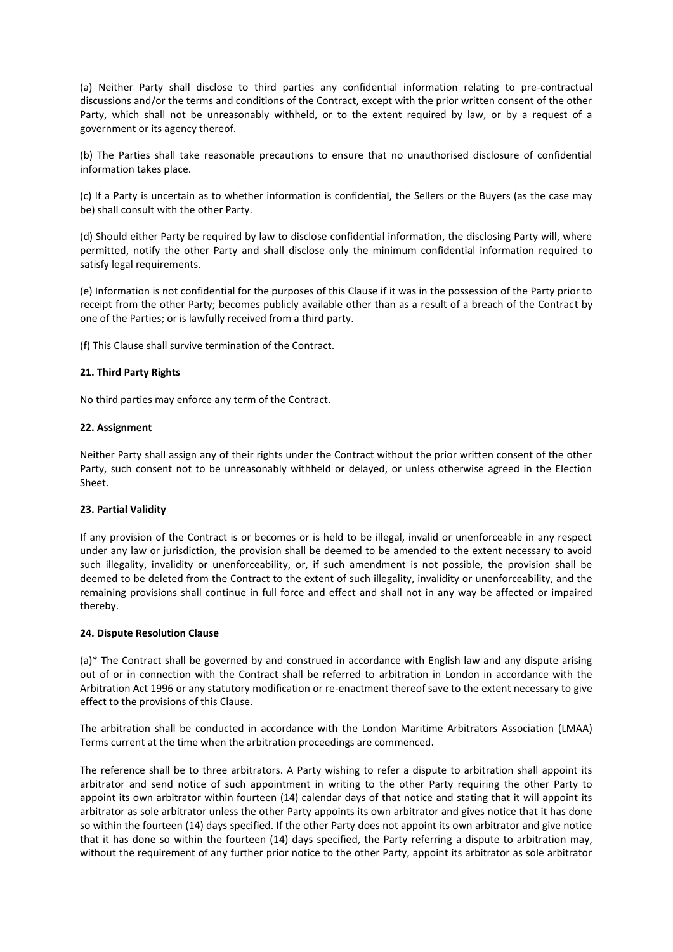(a) Neither Party shall disclose to third parties any confidential information relating to pre-contractual discussions and/or the terms and conditions of the Contract, except with the prior written consent of the other Party, which shall not be unreasonably withheld, or to the extent required by law, or by a request of a government or its agency thereof.

(b) The Parties shall take reasonable precautions to ensure that no unauthorised disclosure of confidential information takes place.

(c) If a Party is uncertain as to whether information is confidential, the Sellers or the Buyers (as the case may be) shall consult with the other Party.

(d) Should either Party be required by law to disclose confidential information, the disclosing Party will, where permitted, notify the other Party and shall disclose only the minimum confidential information required to satisfy legal requirements.

(e) Information is not confidential for the purposes of this Clause if it was in the possession of the Party prior to receipt from the other Party; becomes publicly available other than as a result of a breach of the Contract by one of the Parties; or is lawfully received from a third party.

(f) This Clause shall survive termination of the Contract.

## **21. Third Party Rights**

No third parties may enforce any term of the Contract.

### **22. Assignment**

Neither Party shall assign any of their rights under the Contract without the prior written consent of the other Party, such consent not to be unreasonably withheld or delayed, or unless otherwise agreed in the Election Sheet.

## **23. Partial Validity**

If any provision of the Contract is or becomes or is held to be illegal, invalid or unenforceable in any respect under any law or jurisdiction, the provision shall be deemed to be amended to the extent necessary to avoid such illegality, invalidity or unenforceability, or, if such amendment is not possible, the provision shall be deemed to be deleted from the Contract to the extent of such illegality, invalidity or unenforceability, and the remaining provisions shall continue in full force and effect and shall not in any way be affected or impaired thereby.

## **24. Dispute Resolution Clause**

(a)\* The Contract shall be governed by and construed in accordance with English law and any dispute arising out of or in connection with the Contract shall be referred to arbitration in London in accordance with the Arbitration Act 1996 or any statutory modification or re-enactment thereof save to the extent necessary to give effect to the provisions of this Clause.

The arbitration shall be conducted in accordance with the London Maritime Arbitrators Association (LMAA) Terms current at the time when the arbitration proceedings are commenced.

The reference shall be to three arbitrators. A Party wishing to refer a dispute to arbitration shall appoint its arbitrator and send notice of such appointment in writing to the other Party requiring the other Party to appoint its own arbitrator within fourteen (14) calendar days of that notice and stating that it will appoint its arbitrator as sole arbitrator unless the other Party appoints its own arbitrator and gives notice that it has done so within the fourteen (14) days specified. If the other Party does not appoint its own arbitrator and give notice that it has done so within the fourteen (14) days specified, the Party referring a dispute to arbitration may, without the requirement of any further prior notice to the other Party, appoint its arbitrator as sole arbitrator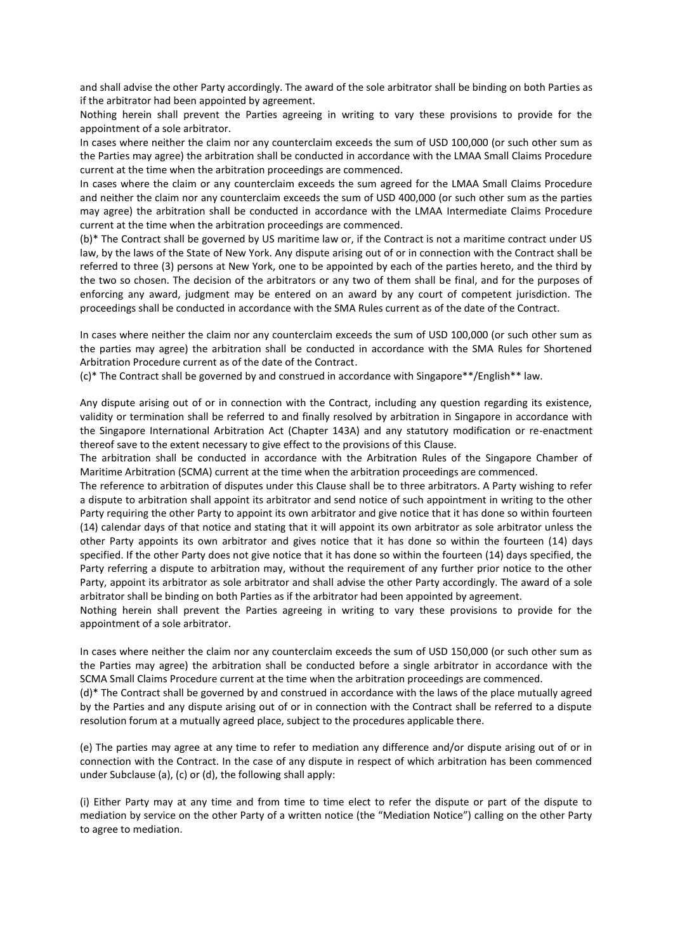and shall advise the other Party accordingly. The award of the sole arbitrator shall be binding on both Parties as if the arbitrator had been appointed by agreement.

Nothing herein shall prevent the Parties agreeing in writing to vary these provisions to provide for the appointment of a sole arbitrator.

In cases where neither the claim nor any counterclaim exceeds the sum of USD 100,000 (or such other sum as the Parties may agree) the arbitration shall be conducted in accordance with the LMAA Small Claims Procedure current at the time when the arbitration proceedings are commenced.

In cases where the claim or any counterclaim exceeds the sum agreed for the LMAA Small Claims Procedure and neither the claim nor any counterclaim exceeds the sum of USD 400,000 (or such other sum as the parties may agree) the arbitration shall be conducted in accordance with the LMAA Intermediate Claims Procedure current at the time when the arbitration proceedings are commenced.

(b)\* The Contract shall be governed by US maritime law or, if the Contract is not a maritime contract under US law, by the laws of the State of New York. Any dispute arising out of or in connection with the Contract shall be referred to three (3) persons at New York, one to be appointed by each of the parties hereto, and the third by the two so chosen. The decision of the arbitrators or any two of them shall be final, and for the purposes of enforcing any award, judgment may be entered on an award by any court of competent jurisdiction. The proceedings shall be conducted in accordance with the SMA Rules current as of the date of the Contract.

In cases where neither the claim nor any counterclaim exceeds the sum of USD 100,000 (or such other sum as the parties may agree) the arbitration shall be conducted in accordance with the SMA Rules for Shortened Arbitration Procedure current as of the date of the Contract.

(c)\* The Contract shall be governed by and construed in accordance with Singapore\*\*/English\*\* law.

Any dispute arising out of or in connection with the Contract, including any question regarding its existence, validity or termination shall be referred to and finally resolved by arbitration in Singapore in accordance with the Singapore International Arbitration Act (Chapter 143A) and any statutory modification or re-enactment thereof save to the extent necessary to give effect to the provisions of this Clause.

The arbitration shall be conducted in accordance with the Arbitration Rules of the Singapore Chamber of Maritime Arbitration (SCMA) current at the time when the arbitration proceedings are commenced.

The reference to arbitration of disputes under this Clause shall be to three arbitrators. A Party wishing to refer a dispute to arbitration shall appoint its arbitrator and send notice of such appointment in writing to the other Party requiring the other Party to appoint its own arbitrator and give notice that it has done so within fourteen (14) calendar days of that notice and stating that it will appoint its own arbitrator as sole arbitrator unless the other Party appoints its own arbitrator and gives notice that it has done so within the fourteen (14) days specified. If the other Party does not give notice that it has done so within the fourteen (14) days specified, the Party referring a dispute to arbitration may, without the requirement of any further prior notice to the other Party, appoint its arbitrator as sole arbitrator and shall advise the other Party accordingly. The award of a sole arbitrator shall be binding on both Parties as if the arbitrator had been appointed by agreement.

Nothing herein shall prevent the Parties agreeing in writing to vary these provisions to provide for the appointment of a sole arbitrator.

In cases where neither the claim nor any counterclaim exceeds the sum of USD 150,000 (or such other sum as the Parties may agree) the arbitration shall be conducted before a single arbitrator in accordance with the SCMA Small Claims Procedure current at the time when the arbitration proceedings are commenced.

(d)\* The Contract shall be governed by and construed in accordance with the laws of the place mutually agreed by the Parties and any dispute arising out of or in connection with the Contract shall be referred to a dispute resolution forum at a mutually agreed place, subject to the procedures applicable there.

(e) The parties may agree at any time to refer to mediation any difference and/or dispute arising out of or in connection with the Contract. In the case of any dispute in respect of which arbitration has been commenced under Subclause (a), (c) or (d), the following shall apply:

(i) Either Party may at any time and from time to time elect to refer the dispute or part of the dispute to mediation by service on the other Party of a written notice (the "Mediation Notice") calling on the other Party to agree to mediation.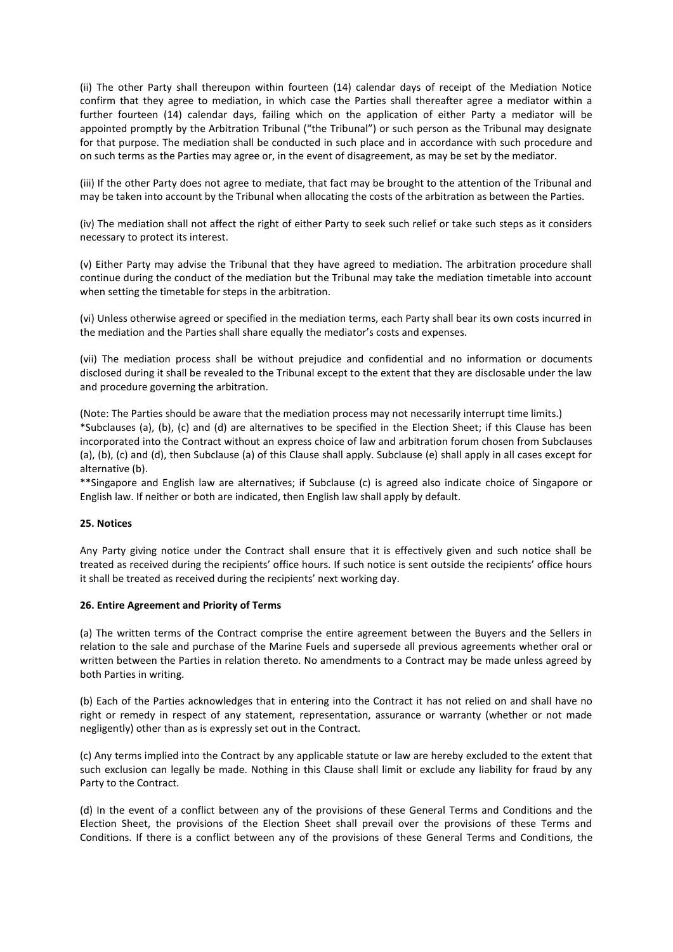(ii) The other Party shall thereupon within fourteen (14) calendar days of receipt of the Mediation Notice confirm that they agree to mediation, in which case the Parties shall thereafter agree a mediator within a further fourteen (14) calendar days, failing which on the application of either Party a mediator will be appointed promptly by the Arbitration Tribunal ("the Tribunal") or such person as the Tribunal may designate for that purpose. The mediation shall be conducted in such place and in accordance with such procedure and on such terms as the Parties may agree or, in the event of disagreement, as may be set by the mediator.

(iii) If the other Party does not agree to mediate, that fact may be brought to the attention of the Tribunal and may be taken into account by the Tribunal when allocating the costs of the arbitration as between the Parties.

(iv) The mediation shall not affect the right of either Party to seek such relief or take such steps as it considers necessary to protect its interest.

(v) Either Party may advise the Tribunal that they have agreed to mediation. The arbitration procedure shall continue during the conduct of the mediation but the Tribunal may take the mediation timetable into account when setting the timetable for steps in the arbitration.

(vi) Unless otherwise agreed or specified in the mediation terms, each Party shall bear its own costs incurred in the mediation and the Parties shall share equally the mediator's costs and expenses.

(vii) The mediation process shall be without prejudice and confidential and no information or documents disclosed during it shall be revealed to the Tribunal except to the extent that they are disclosable under the law and procedure governing the arbitration.

(Note: The Parties should be aware that the mediation process may not necessarily interrupt time limits.) \*Subclauses (a), (b), (c) and (d) are alternatives to be specified in the Election Sheet; if this Clause has been incorporated into the Contract without an express choice of law and arbitration forum chosen from Subclauses (a), (b), (c) and (d), then Subclause (a) of this Clause shall apply. Subclause (e) shall apply in all cases except for alternative (b).

\*\*Singapore and English law are alternatives; if Subclause (c) is agreed also indicate choice of Singapore or English law. If neither or both are indicated, then English law shall apply by default.

## **25. Notices**

Any Party giving notice under the Contract shall ensure that it is effectively given and such notice shall be treated as received during the recipients' office hours. If such notice is sent outside the recipients' office hours it shall be treated as received during the recipients' next working day.

#### **26. Entire Agreement and Priority of Terms**

(a) The written terms of the Contract comprise the entire agreement between the Buyers and the Sellers in relation to the sale and purchase of the Marine Fuels and supersede all previous agreements whether oral or written between the Parties in relation thereto. No amendments to a Contract may be made unless agreed by both Parties in writing.

(b) Each of the Parties acknowledges that in entering into the Contract it has not relied on and shall have no right or remedy in respect of any statement, representation, assurance or warranty (whether or not made negligently) other than as is expressly set out in the Contract.

(c) Any terms implied into the Contract by any applicable statute or law are hereby excluded to the extent that such exclusion can legally be made. Nothing in this Clause shall limit or exclude any liability for fraud by any Party to the Contract.

(d) In the event of a conflict between any of the provisions of these General Terms and Conditions and the Election Sheet, the provisions of the Election Sheet shall prevail over the provisions of these Terms and Conditions. If there is a conflict between any of the provisions of these General Terms and Conditions, the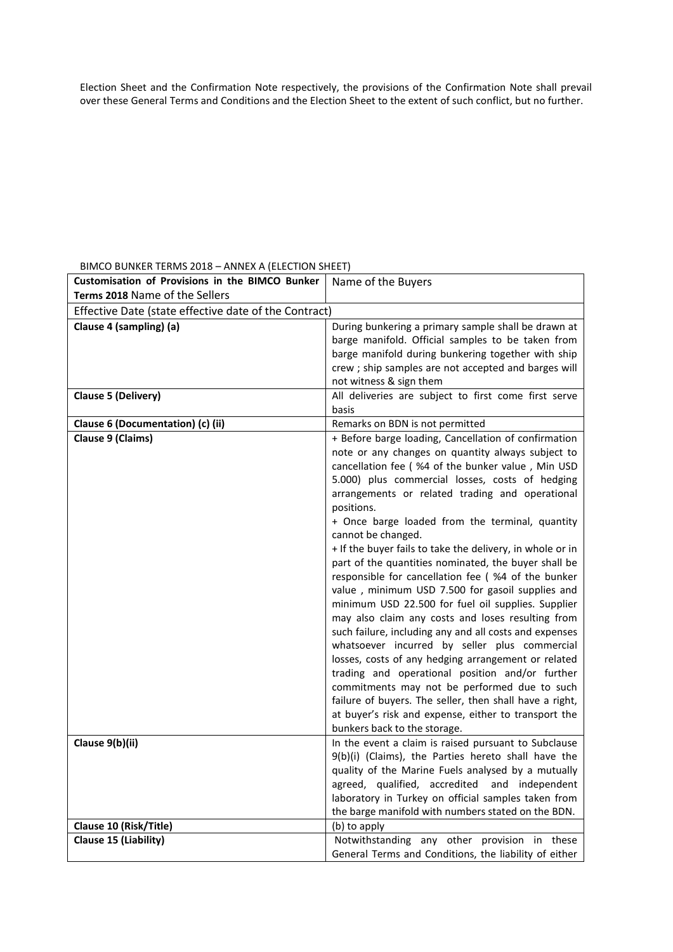Election Sheet and the Confirmation Note respectively, the provisions of the Confirmation Note shall prevail over these General Terms and Conditions and the Election Sheet to the extent of such conflict, but no further.

| Customisation of Provisions in the BIMCO Bunker       | Name of the Buyers                                                                                                                                                                                                                                                                                                                                                                                                                                                                                                                                                                                                                                                                                                                                                                                                                                                                                                                                                                                                |
|-------------------------------------------------------|-------------------------------------------------------------------------------------------------------------------------------------------------------------------------------------------------------------------------------------------------------------------------------------------------------------------------------------------------------------------------------------------------------------------------------------------------------------------------------------------------------------------------------------------------------------------------------------------------------------------------------------------------------------------------------------------------------------------------------------------------------------------------------------------------------------------------------------------------------------------------------------------------------------------------------------------------------------------------------------------------------------------|
| Terms 2018 Name of the Sellers                        |                                                                                                                                                                                                                                                                                                                                                                                                                                                                                                                                                                                                                                                                                                                                                                                                                                                                                                                                                                                                                   |
| Effective Date (state effective date of the Contract) |                                                                                                                                                                                                                                                                                                                                                                                                                                                                                                                                                                                                                                                                                                                                                                                                                                                                                                                                                                                                                   |
| Clause 4 (sampling) (a)                               | During bunkering a primary sample shall be drawn at<br>barge manifold. Official samples to be taken from<br>barge manifold during bunkering together with ship<br>crew ; ship samples are not accepted and barges will<br>not witness & sign them                                                                                                                                                                                                                                                                                                                                                                                                                                                                                                                                                                                                                                                                                                                                                                 |
| <b>Clause 5 (Delivery)</b>                            | All deliveries are subject to first come first serve<br>basis                                                                                                                                                                                                                                                                                                                                                                                                                                                                                                                                                                                                                                                                                                                                                                                                                                                                                                                                                     |
| Clause 6 (Documentation) (c) (ii)                     | Remarks on BDN is not permitted                                                                                                                                                                                                                                                                                                                                                                                                                                                                                                                                                                                                                                                                                                                                                                                                                                                                                                                                                                                   |
| Clause 9 (Claims)                                     | + Before barge loading, Cancellation of confirmation<br>note or any changes on quantity always subject to                                                                                                                                                                                                                                                                                                                                                                                                                                                                                                                                                                                                                                                                                                                                                                                                                                                                                                         |
|                                                       | cancellation fee (%4 of the bunker value, Min USD<br>5.000) plus commercial losses, costs of hedging<br>arrangements or related trading and operational<br>positions.<br>+ Once barge loaded from the terminal, quantity<br>cannot be changed.<br>+ If the buyer fails to take the delivery, in whole or in<br>part of the quantities nominated, the buyer shall be<br>responsible for cancellation fee ( %4 of the bunker<br>value, minimum USD 7.500 for gasoil supplies and<br>minimum USD 22.500 for fuel oil supplies. Supplier<br>may also claim any costs and loses resulting from<br>such failure, including any and all costs and expenses<br>whatsoever incurred by seller plus commercial<br>losses, costs of any hedging arrangement or related<br>trading and operational position and/or further<br>commitments may not be performed due to such<br>failure of buyers. The seller, then shall have a right,<br>at buyer's risk and expense, either to transport the<br>bunkers back to the storage. |
| Clause 9(b)(ii)                                       | In the event a claim is raised pursuant to Subclause<br>9(b)(i) (Claims), the Parties hereto shall have the<br>quality of the Marine Fuels analysed by a mutually                                                                                                                                                                                                                                                                                                                                                                                                                                                                                                                                                                                                                                                                                                                                                                                                                                                 |
|                                                       | agreed, qualified, accredited and independent<br>laboratory in Turkey on official samples taken from<br>the barge manifold with numbers stated on the BDN.                                                                                                                                                                                                                                                                                                                                                                                                                                                                                                                                                                                                                                                                                                                                                                                                                                                        |
| Clause 10 (Risk/Title)                                | (b) to apply                                                                                                                                                                                                                                                                                                                                                                                                                                                                                                                                                                                                                                                                                                                                                                                                                                                                                                                                                                                                      |
| Clause 15 (Liability)                                 | Notwithstanding any other provision in these<br>General Terms and Conditions, the liability of either                                                                                                                                                                                                                                                                                                                                                                                                                                                                                                                                                                                                                                                                                                                                                                                                                                                                                                             |

## BIMCO BUNKER TERMS 2018 – ANNEX A (ELECTION SHEET)